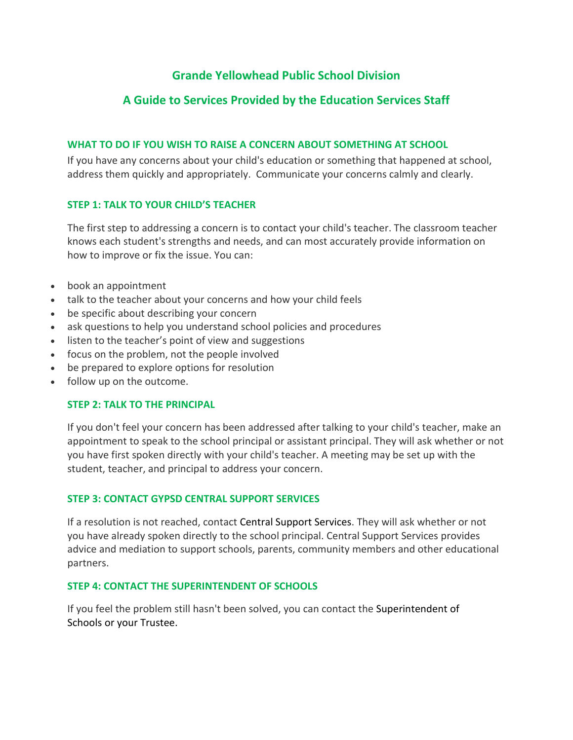# **Grande Yellowhead Public School Division**

# **A Guide to Services Provided by the Education Services Staff**

#### **WHAT TO DO IF YOU WISH TO RAISE A CONCERN ABOUT SOMETHING AT SCHOOL**

If you have any concerns about your child's education or something that happened at school, address them quickly and appropriately. Communicate your concerns calmly and clearly.

### **STEP 1: TALK TO YOUR CHILD'S TEACHER**

The first step to addressing a concern is to contact your child's teacher. The classroom teacher knows each student's strengths and needs, and can most accurately provide information on how to improve or fix the issue. You can:

- book an appointment
- talk to the teacher about your concerns and how your child feels
- be specific about describing your concern
- ask questions to help you understand school policies and procedures
- listen to the teacher's point of view and suggestions
- focus on the problem, not the people involved
- be prepared to explore options for resolution
- follow up on the outcome.

#### **STEP 2: TALK TO THE PRINCIPAL**

If you don't feel your concern has been addressed after talking to your child's teacher, make an appointment to speak to the school principal or assistant principal. They will ask whether or not you have first spoken directly with your child's teacher. A meeting may be set up with the student, teacher, and principal to address your concern.

#### **STEP 3: CONTACT GYPSD CENTRAL SUPPORT SERVICES**

If a resolution is not reached, contact Central Support Services. They will ask whether or not you have already spoken directly to the school principal. Central Support Services provides advice and mediation to support schools, parents, community members and other educational partners.

#### **STEP 4: CONTACT THE SUPERINTENDENT OF SCHOOLS**

If you feel the problem still hasn't been solved, you can contact the [Superintendent](https://www.epsb.ca/ourdistrict/departments/superintendent/) of [Schools](https://www.epsb.ca/ourdistrict/departments/superintendent/) or your [Trustee.](https://www.epsb.ca/ourdistrict/board/)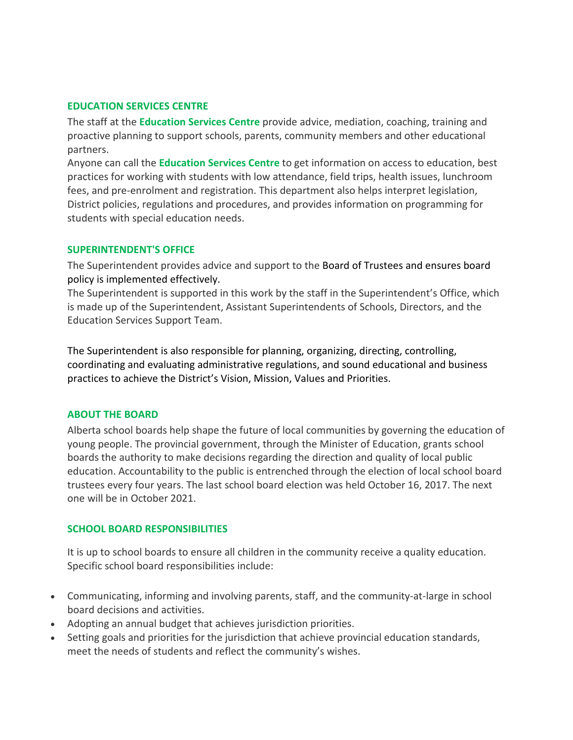#### **EDUCATION SERVICES CENTRE**

The staff at the **Education Services Centre** provide advice, mediation, coaching, training and proactive planning to support schools, parents, community members and other educational partners.

Anyone can call the **Education Services Centre** to get information on access to education, best practices for working with students with low attendance, field trips, health issues, lunchroom fees, and pre-enrolment and registration. This department also helps interpret legislation, District policies, regulations and procedures, and provides information on programming for students with special education needs.

#### **SUPERINTENDENT'S OFFICE**

The Superintendent provides advice and support to the Board of [Trustees](http://www.epsb.ca/ourdistrict/board/) and ensures [board](http://www.epsb.ca/ourdistrict/policy/) [policy](http://www.epsb.ca/ourdistrict/policy/) is implemented effectively.

The Superintendent is supported in this work by the staff in the Superintendent's Office, which is made up of the Superintendent, Assistant Superintendents of Schools, Directors, and the Education Services Support Team.

The Superintendent is also responsible for planning, organizing, directing, controlling, coordinating and evaluating [administrative](http://www.epsb.ca/ourdistrict/policy/) regulations, and sound educational and business practices to achieve the District's Vision, Mission, Values and [Priorities.](http://epsb.ca/ourdistrict/results/strategicplan/)

#### **ABOUT THE BOARD**

Alberta school boards help shape the future of local communities by governing the education of young people. The provincial government, through the Minister of Education, grants school boards the authority to make decisions regarding the direction and quality of local public education. Accountability to the public is entrenched through the election of local school board trustees every four years. The last school board election was held October 16, 2017. The next one will be in October 2021.

#### **SCHOOL BOARD RESPONSIBILITIES**

It is up to school boards to ensure all children in the community receive a quality education. Specific school board responsibilities include:

- Communicating, informing and involving parents, staff, and the community-at-large in school board decisions and activities.
- Adopting an annual budget that achieves jurisdiction priorities.
- Setting goals and priorities for the jurisdiction that achieve provincial education standards, meet the needs of students and reflect the community's wishes.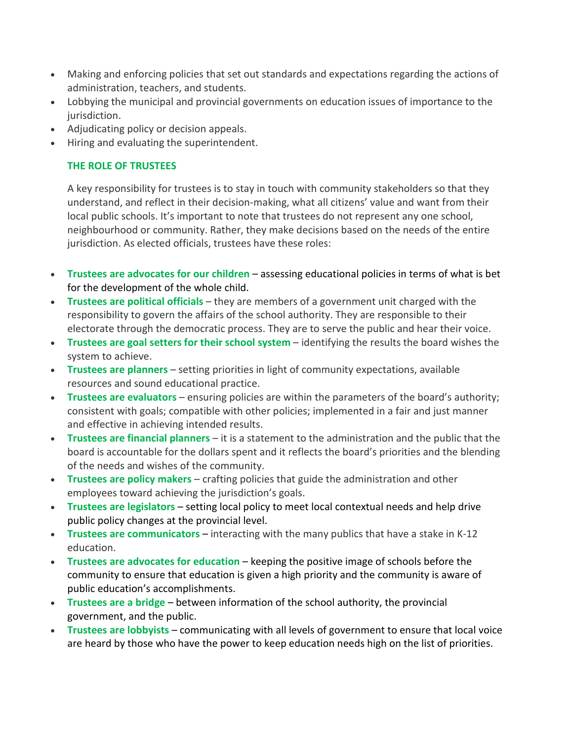- Making and enforcing policies that set out standards and expectations regarding the actions of administration, teachers, and students.
- Lobbying the municipal and provincial governments on education issues of importance to the jurisdiction.
- Adjudicating policy or decision appeals.
- Hiring and evaluating the superintendent.

### **THE ROLE OF TRUSTEES**

A key responsibility for trustees is to stay in touch with community stakeholders so that they understand, and reflect in their decision-making, what all citizens' value and want from their local public schools. It's important to note that trustees do not represent any one school, neighbourhood or community. Rather, they make decisions based on the needs of the entire jurisdiction. As elected officials, trustees have these roles:

- **Trustees are advocates for our children** assessing educational policies in terms of what is bet for the development of the whole child.
- **Trustees are political officials** they are members of a government unit charged with the responsibility to govern the affairs of the school authority. They are responsible to their electorate through the democratic process. They are to serve the public and hear their voice.
- **Trustees are goal setters for their school system** identifying the results the board wishes the system to achieve.
- **Trustees are planners** setting priorities in light of community expectations, available resources and sound educational practice.
- **Trustees are evaluators** ensuring policies are within the parameters of the board's authority; consistent with goals; compatible with other policies; implemented in a fair and just manner and effective in achieving intended results.
- **Trustees are financial planners** it is a statement to the administration and the public that the board is accountable for the dollars spent and it reflects the board's priorities and the blending of the needs and wishes of the community.
- **Trustees are policy makers** crafting policies that guide the administration and other employees toward achieving the jurisdiction's goals.
- **Trustees are legislators** setting local policy to meet local contextual needs and help drive public policy changes at the provincial level.
- **Trustees are communicators** interacting with the many publics that have a stake in K-12 education.
- **Trustees are advocates for education**  keeping the positive image of schools before the community to ensure that education is given a high priority and the community is aware of public education's accomplishments.
- **Trustees are a bridge**  between information of the school authority, the provincial government, and the public.
- **Trustees are lobbyists**  communicating with all levels of government to ensure that local voice are heard by those who have the power to keep education needs high on the list of priorities.